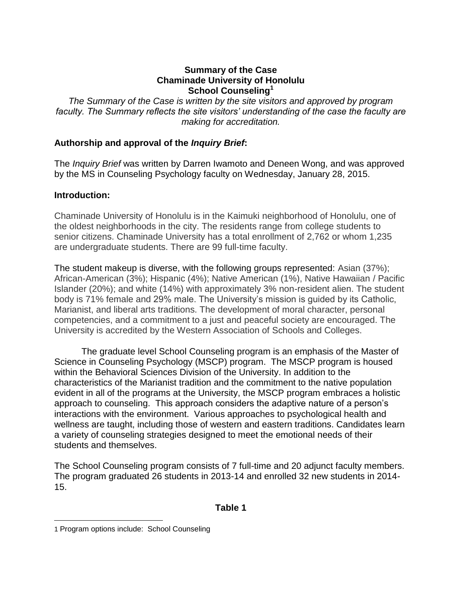#### **Summary of the Case Chaminade University of Honolulu School Counseling<sup>1</sup>**

*The Summary of the Case is written by the site visitors and approved by program faculty. The Summary reflects the site visitors' understanding of the case the faculty are making for accreditation.*

## **Authorship and approval of the** *Inquiry Brief***:**

The *Inquiry Brief* was written by Darren Iwamoto and Deneen Wong, and was approved by the MS in Counseling Psychology faculty on Wednesday, January 28, 2015.

#### **Introduction:**

Chaminade University of Honolulu is in the Kaimuki neighborhood of Honolulu, one of the oldest neighborhoods in the city. The residents range from college students to senior citizens. Chaminade University has a total enrollment of 2,762 or whom 1,235 are undergraduate students. There are 99 full-time faculty.

The student makeup is diverse, with the following groups represented: Asian (37%); African-American (3%); Hispanic (4%); Native American (1%), Native Hawaiian / Pacific Islander (20%); and white (14%) with approximately 3% non-resident alien. The student body is 71% female and 29% male. The University's mission is guided by its Catholic, Marianist, and liberal arts traditions. The development of moral character, personal competencies, and a commitment to a just and peaceful society are encouraged. The University is accredited by the Western Association of Schools and Colleges.

The graduate level School Counseling program is an emphasis of the Master of Science in Counseling Psychology (MSCP) program. The MSCP program is housed within the Behavioral Sciences Division of the University. In addition to the characteristics of the Marianist tradition and the commitment to the native population evident in all of the programs at the University, the MSCP program embraces a holistic approach to counseling. This approach considers the adaptive nature of a person's interactions with the environment. Various approaches to psychological health and wellness are taught, including those of western and eastern traditions. Candidates learn a variety of counseling strategies designed to meet the emotional needs of their students and themselves.

The School Counseling program consists of 7 full-time and 20 adjunct faculty members. The program graduated 26 students in 2013-14 and enrolled 32 new students in 2014- 15.

#### **Table 1**

 $\overline{a}$ 

<sup>1</sup> Program options include: School Counseling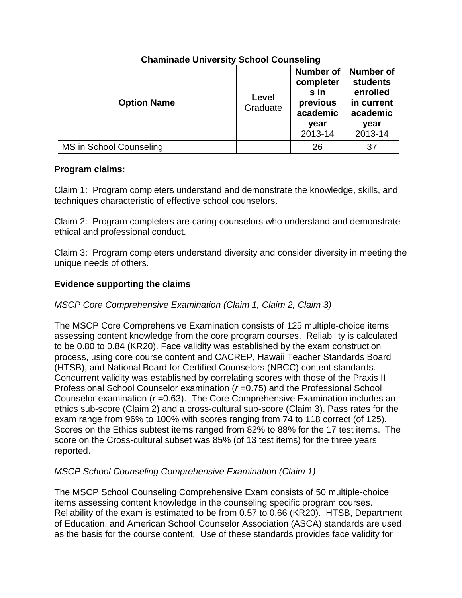| <b>Option Name</b>      | Level<br>Graduate | <b>Number of</b><br>completer<br>s in<br>previous<br>academic<br>year<br>2013-14 | <b>Number of</b><br><b>students</b><br>enrolled<br>in current<br>academic<br>year<br>2013-14 |
|-------------------------|-------------------|----------------------------------------------------------------------------------|----------------------------------------------------------------------------------------------|
| MS in School Counseling |                   | 26                                                                               | 37                                                                                           |

# **Chaminade University School Counseling**

## **Program claims:**

Claim 1: Program completers understand and demonstrate the knowledge, skills, and techniques characteristic of effective school counselors.

Claim 2: Program completers are caring counselors who understand and demonstrate ethical and professional conduct.

Claim 3: Program completers understand diversity and consider diversity in meeting the unique needs of others.

## **Evidence supporting the claims**

## *MSCP Core Comprehensive Examination (Claim 1, Claim 2, Claim 3)*

The MSCP Core Comprehensive Examination consists of 125 multiple-choice items assessing content knowledge from the core program courses. Reliability is calculated to be 0.80 to 0.84 (KR20). Face validity was established by the exam construction process, using core course content and CACREP, Hawaii Teacher Standards Board (HTSB), and National Board for Certified Counselors (NBCC) content standards. Concurrent validity was established by correlating scores with those of the Praxis II Professional School Counselor examination (*r* =0.75) and the Professional School Counselor examination (*r* =0.63). The Core Comprehensive Examination includes an ethics sub-score (Claim 2) and a cross-cultural sub-score (Claim 3). Pass rates for the exam range from 96% to 100% with scores ranging from 74 to 118 correct (of 125). Scores on the Ethics subtest items ranged from 82% to 88% for the 17 test items. The score on the Cross-cultural subset was 85% (of 13 test items) for the three years reported.

## *MSCP School Counseling Comprehensive Examination (Claim 1)*

The MSCP School Counseling Comprehensive Exam consists of 50 multiple-choice items assessing content knowledge in the counseling specific program courses. Reliability of the exam is estimated to be from 0.57 to 0.66 (KR20). HTSB, Department of Education, and American School Counselor Association (ASCA) standards are used as the basis for the course content. Use of these standards provides face validity for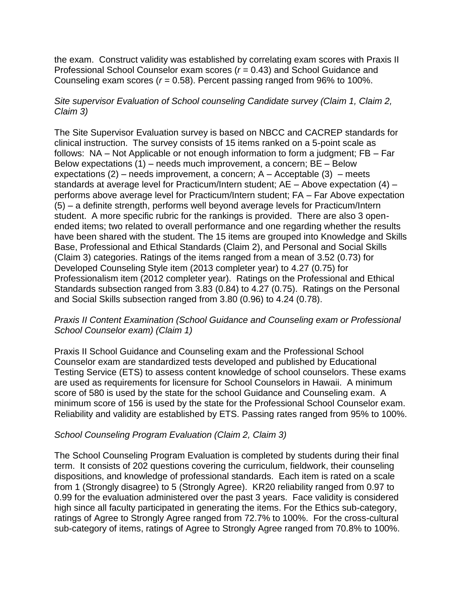the exam. Construct validity was established by correlating exam scores with Praxis II Professional School Counselor exam scores (*r* = 0.43) and School Guidance and Counseling exam scores (*r* = 0.58). Percent passing ranged from 96% to 100%.

## *Site supervisor Evaluation of School counseling Candidate survey (Claim 1, Claim 2, Claim 3)*

The Site Supervisor Evaluation survey is based on NBCC and CACREP standards for clinical instruction. The survey consists of 15 items ranked on a 5-point scale as follows: NA – Not Applicable or not enough information to form a judgment; FB – Far Below expectations (1) – needs much improvement, a concern; BE – Below expectations  $(2)$  – needs improvement, a concern; A – Acceptable  $(3)$  – meets standards at average level for Practicum/Intern student; AE – Above expectation (4) – performs above average level for Practicum/Intern student; FA – Far Above expectation (5) – a definite strength, performs well beyond average levels for Practicum/Intern student. A more specific rubric for the rankings is provided. There are also 3 openended items; two related to overall performance and one regarding whether the results have been shared with the student. The 15 items are grouped into Knowledge and Skills Base, Professional and Ethical Standards (Claim 2), and Personal and Social Skills (Claim 3) categories. Ratings of the items ranged from a mean of 3.52 (0.73) for Developed Counseling Style item (2013 completer year) to 4.27 (0.75) for Professionalism item (2012 completer year). Ratings on the Professional and Ethical Standards subsection ranged from 3.83 (0.84) to 4.27 (0.75). Ratings on the Personal and Social Skills subsection ranged from 3.80 (0.96) to 4.24 (0.78).

## *Praxis II Content Examination (School Guidance and Counseling exam or Professional School Counselor exam) (Claim 1)*

Praxis II School Guidance and Counseling exam and the Professional School Counselor exam are standardized tests developed and published by Educational Testing Service (ETS) to assess content knowledge of school counselors. These exams are used as requirements for licensure for School Counselors in Hawaii. A minimum score of 580 is used by the state for the school Guidance and Counseling exam. A minimum score of 156 is used by the state for the Professional School Counselor exam. Reliability and validity are established by ETS. Passing rates ranged from 95% to 100%.

## *School Counseling Program Evaluation (Claim 2, Claim 3)*

The School Counseling Program Evaluation is completed by students during their final term. It consists of 202 questions covering the curriculum, fieldwork, their counseling dispositions, and knowledge of professional standards. Each item is rated on a scale from 1 (Strongly disagree) to 5 (Strongly Agree). KR20 reliability ranged from 0.97 to 0.99 for the evaluation administered over the past 3 years. Face validity is considered high since all faculty participated in generating the items. For the Ethics sub-category, ratings of Agree to Strongly Agree ranged from 72.7% to 100%. For the cross-cultural sub-category of items, ratings of Agree to Strongly Agree ranged from 70.8% to 100%.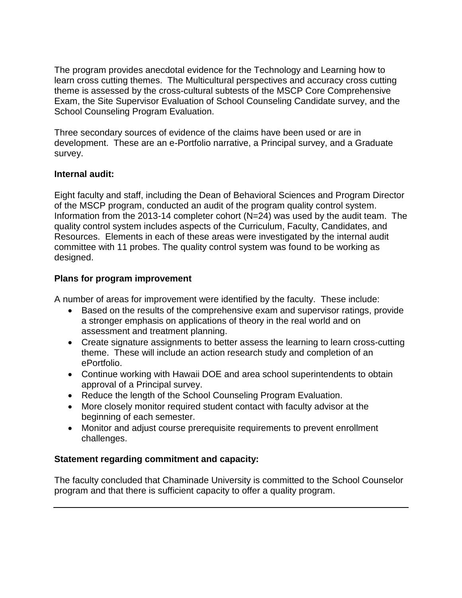The program provides anecdotal evidence for the Technology and Learning how to learn cross cutting themes. The Multicultural perspectives and accuracy cross cutting theme is assessed by the cross-cultural subtests of the MSCP Core Comprehensive Exam, the Site Supervisor Evaluation of School Counseling Candidate survey, and the School Counseling Program Evaluation.

Three secondary sources of evidence of the claims have been used or are in development. These are an e-Portfolio narrative, a Principal survey, and a Graduate survey.

## **Internal audit:**

Eight faculty and staff, including the Dean of Behavioral Sciences and Program Director of the MSCP program, conducted an audit of the program quality control system. Information from the 2013-14 completer cohort (N=24) was used by the audit team. The quality control system includes aspects of the Curriculum, Faculty, Candidates, and Resources. Elements in each of these areas were investigated by the internal audit committee with 11 probes. The quality control system was found to be working as designed.

## **Plans for program improvement**

A number of areas for improvement were identified by the faculty. These include:

- Based on the results of the comprehensive exam and supervisor ratings, provide a stronger emphasis on applications of theory in the real world and on assessment and treatment planning.
- Create signature assignments to better assess the learning to learn cross-cutting theme. These will include an action research study and completion of an ePortfolio.
- Continue working with Hawaii DOE and area school superintendents to obtain approval of a Principal survey.
- Reduce the length of the School Counseling Program Evaluation.
- More closely monitor required student contact with faculty advisor at the beginning of each semester.
- Monitor and adjust course prerequisite requirements to prevent enrollment challenges.

## **Statement regarding commitment and capacity:**

The faculty concluded that Chaminade University is committed to the School Counselor program and that there is sufficient capacity to offer a quality program.